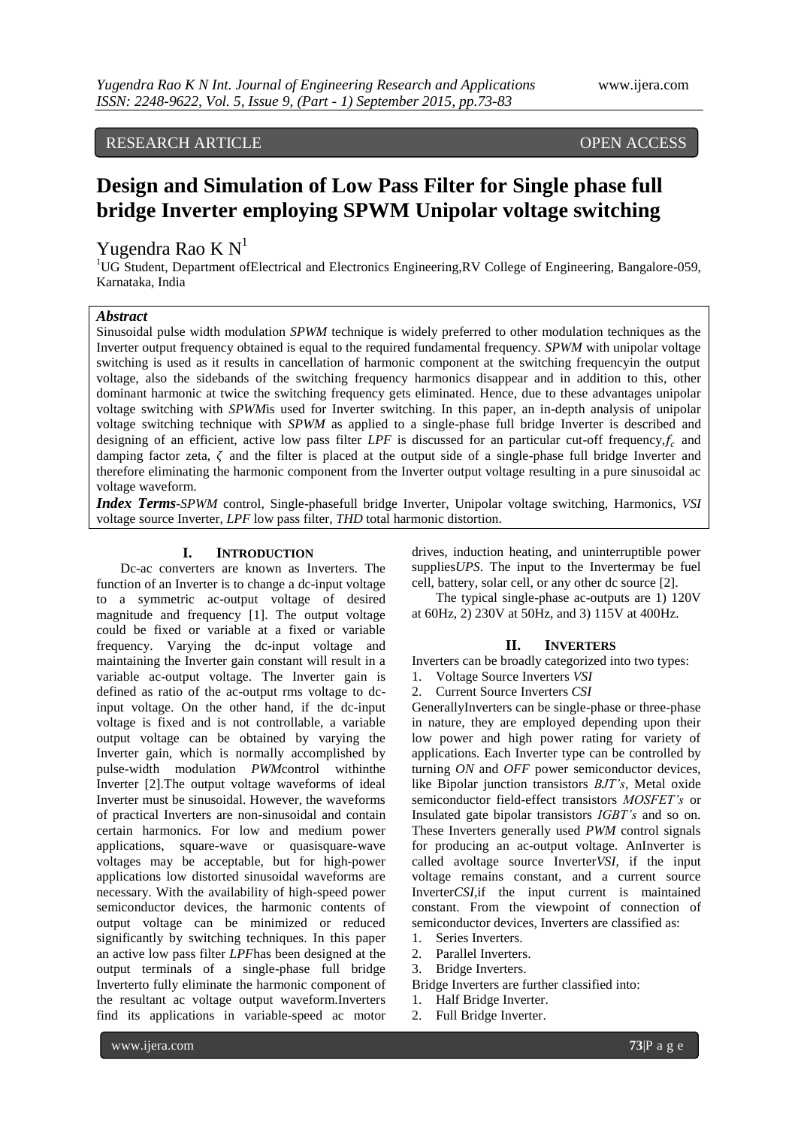RESEARCH ARTICLE OPEN ACCESS

# **Design and Simulation of Low Pass Filter for Single phase full bridge Inverter employing SPWM Unipolar voltage switching**

 $\overline{\phantom{a}}$ 

# Yugendra Rao K N<sup>1</sup>

<sup>1</sup>UG Student, Department ofElectrical and Electronics Engineering,RV College of Engineering, Bangalore-059, Karnataka, India

# *Abstract*

Sinusoidal pulse width modulation *SPWM* technique is widely preferred to other modulation techniques as the Inverter output frequency obtained is equal to the required fundamental frequency. *SPWM* with unipolar voltage switching is used as it results in cancellation of harmonic component at the switching frequencyin the output voltage, also the sidebands of the switching frequency harmonics disappear and in addition to this, other dominant harmonic at twice the switching frequency gets eliminated. Hence, due to these advantages unipolar voltage switching with *SPWM*is used for Inverter switching. In this paper, an in-depth analysis of unipolar voltage switching technique with *SPWM* as applied to a single-phase full bridge Inverter is described and designing of an efficient, active low pass filter *LPF* is discussed for an particular cut-off frequency,  $f_c$  and damping factor zeta,  $\zeta$  and the filter is placed at the output side of a single-phase full bridge Inverter and therefore eliminating the harmonic component from the Inverter output voltage resulting in a pure sinusoidal ac voltage waveform.

*Index Terms*-*SPWM* control, Single-phasefull bridge Inverter, Unipolar voltage switching, Harmonics, *VSI*  voltage source Inverter, *LPF* low pass filter, *THD* total harmonic distortion.

# **I. INTRODUCTION**

Dc-ac converters are known as Inverters. The function of an Inverter is to change a dc-input voltage to a symmetric ac-output voltage of desired magnitude and frequency [1]. The output voltage could be fixed or variable at a fixed or variable frequency. Varying the dc-input voltage and maintaining the Inverter gain constant will result in a variable ac-output voltage. The Inverter gain is defined as ratio of the ac-output rms voltage to dcinput voltage. On the other hand, if the dc-input voltage is fixed and is not controllable, a variable output voltage can be obtained by varying the Inverter gain, which is normally accomplished by pulse-width modulation *PWM*control withinthe Inverter [2].The output voltage waveforms of ideal Inverter must be sinusoidal. However, the waveforms of practical Inverters are non-sinusoidal and contain certain harmonics. For low and medium power applications, square-wave or quasisquare-wave voltages may be acceptable, but for high-power applications low distorted sinusoidal waveforms are necessary. With the availability of high-speed power semiconductor devices, the harmonic contents of output voltage can be minimized or reduced significantly by switching techniques. In this paper an active low pass filter *LPF*has been designed at the output terminals of a single-phase full bridge Inverterto fully eliminate the harmonic component of the resultant ac voltage output waveform.Inverters find its applications in variable-speed ac motor

drives, induction heating, and uninterruptible power supplies*UPS*. The input to the Invertermay be fuel cell, battery, solar cell, or any other dc source [2].

The typical single-phase ac-outputs are 1) 120V at 60Hz, 2) 230V at 50Hz, and 3) 115V at 400Hz.

#### **II. INVERTERS**

Inverters can be broadly categorized into two types: 1. Voltage Source Inverters *VSI*

2. Current Source Inverters *CSI*

GenerallyInverters can be single-phase or three-phase in nature, they are employed depending upon their low power and high power rating for variety of applications. Each Inverter type can be controlled by turning *ON* and *OFF* power semiconductor devices, like Bipolar junction transistors *BJT's*, Metal oxide semiconductor field-effect transistors *MOSFET's* or Insulated gate bipolar transistors *IGBT's* and so on. These Inverters generally used *PWM* control signals for producing an ac-output voltage. AnInverter is called avoltage source Inverter*VSI,* if the input voltage remains constant, and a current source Inverter*CSI,*if the input current is maintained constant. From the viewpoint of connection of semiconductor devices, Inverters are classified as:

- 1. Series Inverters.
- 2. Parallel Inverters.
- 3. Bridge Inverters.
- Bridge Inverters are further classified into:
- 1. Half Bridge Inverter.
- 2. Full Bridge Inverter.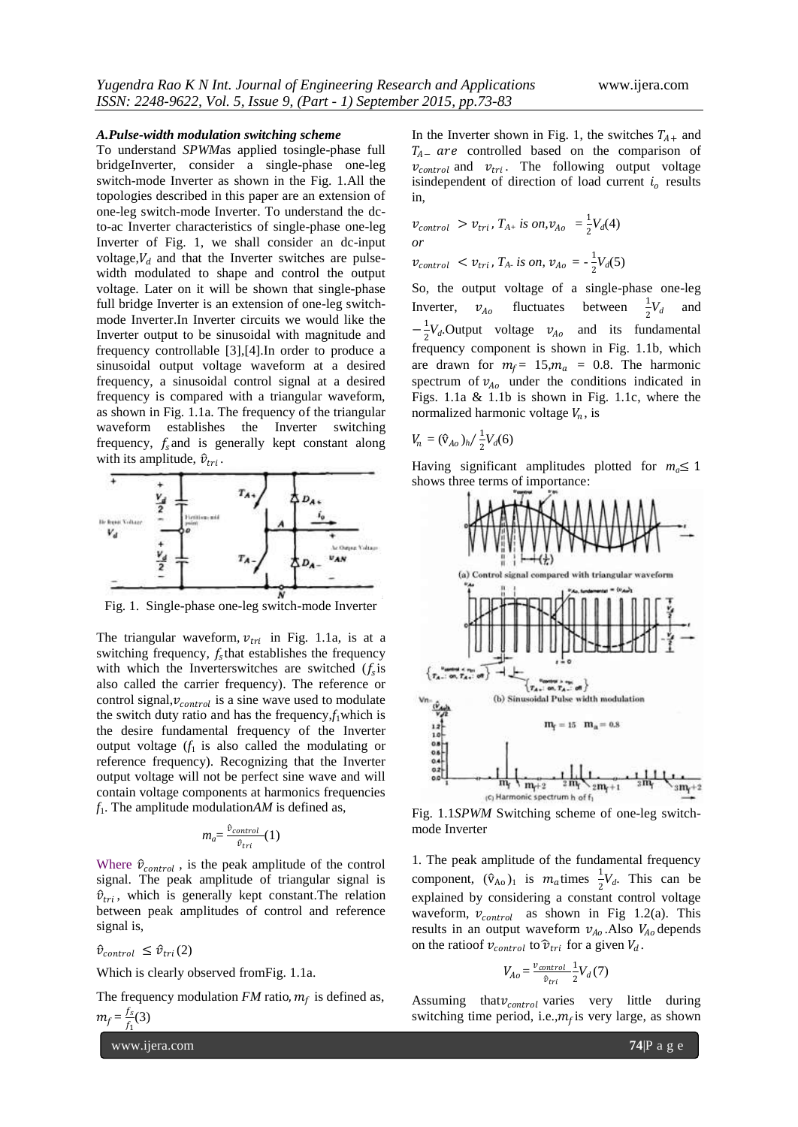#### *A.Pulse-width modulation switching scheme*

To understand *SPWM*as applied tosingle-phase full bridgeInverter, consider a single-phase one-leg switch-mode Inverter as shown in the Fig. 1.All the topologies described in this paper are an extension of one-leg switch-mode Inverter. To understand the dcto-ac Inverter characteristics of single-phase one-leg Inverter of Fig. 1, we shall consider an dc-input voltage,  $V_d$  and that the Inverter switches are pulsewidth modulated to shape and control the output voltage. Later on it will be shown that single-phase full bridge Inverter is an extension of one-leg switchmode Inverter.In Inverter circuits we would like the Inverter output to be sinusoidal with magnitude and frequency controllable [3],[4].In order to produce a sinusoidal output voltage waveform at a desired frequency, a sinusoidal control signal at a desired frequency is compared with a triangular waveform, as shown in Fig. 1.1a. The frequency of the triangular waveform establishes the Inverter switching frequency,  $f_s$  and is generally kept constant along with its amplitude,  $\hat{v}_{tri}$ .



Fig. 1. Single-phase one-leg switch-mode Inverter

The triangular waveform,  $v_{tri}$  in Fig. 1.1a, is at a switching frequency,  $f_s$ that establishes the frequency with which the Inverterswitches are switched  $(f_s$  is also called the carrier frequency). The reference or control signal,  $v_{control}$  is a sine wave used to modulate the switch duty ratio and has the frequency, $f_1$ which is the desire fundamental frequency of the Inverter output voltage  $(f_1$  is also called the modulating or reference frequency). Recognizing that the Inverter output voltage will not be perfect sine wave and will contain voltage components at harmonics frequencies  $f_1$ . The amplitude modulation $AM$  is defined as,

$$
m_a = \frac{\hat{v}_{control}}{\hat{v}_{tri}}(1)
$$

Where  $\hat{v}_{control}$ , is the peak amplitude of the control signal. The peak amplitude of triangular signal is  $\hat{v}_{tri}$ , which is generally kept constant. The relation between peak amplitudes of control and reference signal is,

 $\hat{v}_{control} \leq \hat{v}_{tri}(2)$ 

Which is clearly observed fromFig. 1.1a.

The frequency modulation  $FM$  ratio,  $m_f$  is defined as,  $m_f = \frac{f_s}{f_s}$  $\frac{f_s}{f_1}(3)$ 

www.ijera.com **74**|P a g e

In the Inverter shown in Fig. 1, the switches  $T_{A+}$  and  $T_{A-}$  are controlled based on the comparison of  $v_{control}$  and  $v_{tri}$ . The following output voltage isindependent of direction of load current  $i<sub>o</sub>$  results in,

$$
\begin{aligned} v_{control} &> v_{tri}, T_{A+} \text{ is on,} v_{A0} = \frac{1}{2} V_d(4) \\ \text{or} \\ v_{control} &< v_{tri}, T_{A} \text{ is on, } v_{A0} = -\frac{1}{2} V_d(5) \end{aligned}
$$

So, the output voltage of a single-phase one-leg Inverter, fluctuates between  $\frac{1}{2}V_d$  and  $-\frac{1}{2}$  $\frac{1}{2}V_d$ . Output voltage  $v_{A_0}$  and its fundamental frequency component is shown in Fig. 1.1b, which are drawn for  $m_f = 15$ ,  $m_a = 0.8$ . The harmonic spectrum of  $v_{A_0}$  under the conditions indicated in Figs. 1.1a & 1.1b is shown in Fig. 1.1c, where the normalized harmonic voltage  $V_n$ , is

$$
V_n = (\hat{v}_{Ao})_h / \frac{1}{2} V_d(6)
$$

Having significant amplitudes plotted for  $m_a \leq 1$ shows three terms of importance:



Fig. 1.1*SPWM* Switching scheme of one-leg switchmode Inverter

1. The peak amplitude of the fundamental frequency component,  $(\hat{v}_{A_0})_1$  is  $m_a$ times  $\frac{1}{2}V_d$ . This can be explained by considering a constant control voltage waveform,  $v_{control}$  as shown in Fig 1.2(a). This results in an output waveform  $v_{A_0}$ . Also  $V_{A_0}$  depends on the ratioof  $v_{control}$  to  $\hat{v}_{tri}$  for a given  $V_d$ .

$$
V_{Ao} = \frac{v_{control}}{\hat{v}_{tri}} \frac{1}{2} V_d(7)
$$

Assuming that  $v_{control}$  varies very little during switching time period, i.e., $m_f$  is very large, as shown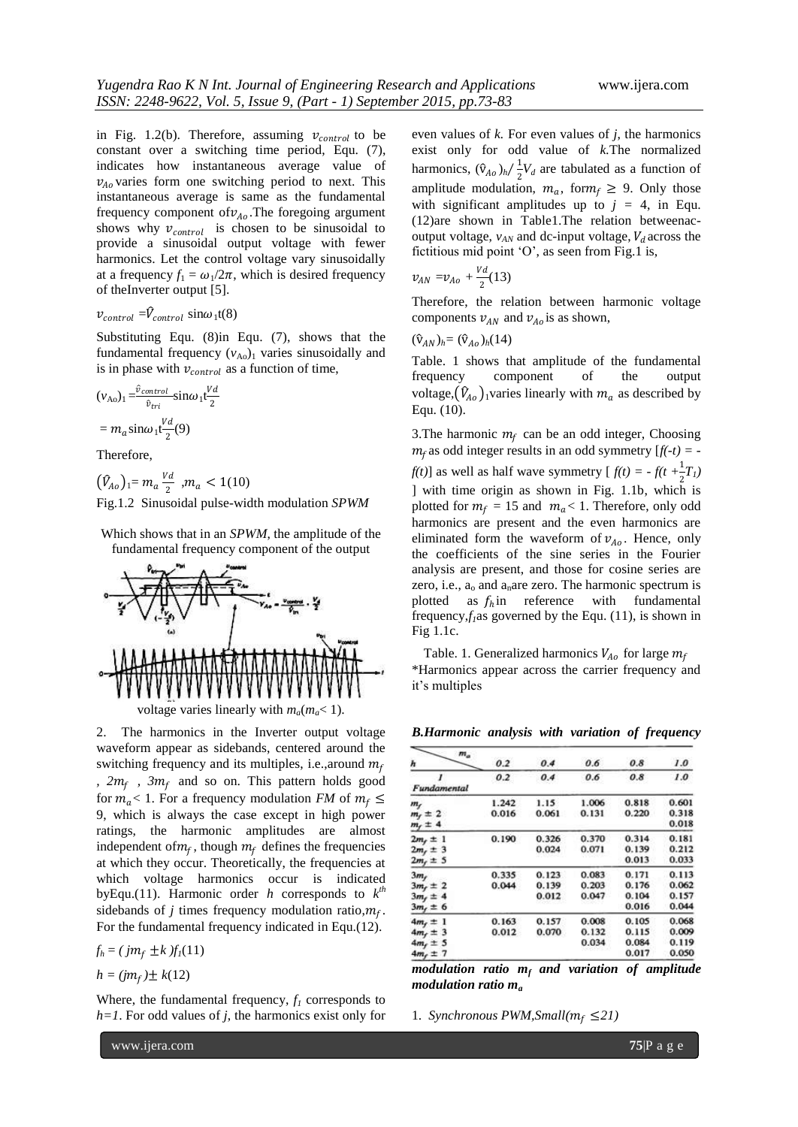in Fig. 1.2(b). Therefore, assuming  $v_{control}$  to be constant over a switching time period, Equ. (7), indicates how instantaneous average value of  $v_{Ao}$  varies form one switching period to next. This instantaneous average is same as the fundamental frequency component of  $v_{A_0}$ . The foregoing argument shows why  $v_{control}$  is chosen to be sinusoidal to provide a sinusoidal output voltage with fewer harmonics. Let the control voltage vary sinusoidally at a frequency  $f_1 = \omega_1/2\pi$ , which is desired frequency of theInverter output [5].

# $v_{control} = \hat{V}_{control} \sin \omega_1 t(8)$

Substituting Equ. (8)in Equ. (7), shows that the fundamental frequency  $(v_{A_0})$ <sup>1</sup> varies sinusoidally and is in phase with  $v_{control}$  as a function of time,

$$
\begin{aligned} (v_{\text{Ao}})_1 &= \frac{\hat{v}_{control}}{\hat{v}_{tri}} \sin \omega_1 \mathbf{t} \frac{Vd}{2} \\ &= m_a \sin \omega_1 \mathbf{t} \frac{Vd}{2} (9) \end{aligned}
$$

Therefore,

 $(\widehat{V}_{Ao})_1=m_a\frac{Vd}{2}$  $\frac{a}{2}$ ,  $m_a < 1(10)$ Fig.1.2 Sinusoidal pulse-width modulation *SPWM*

Which shows that in an *SPWM*, the amplitude of the fundamental frequency component of the output



2. The harmonics in the Inverter output voltage waveform appear as sidebands, centered around the switching frequency and its multiples, i.e., around  $m_f$ *,*  $2m_f$ *,*  $3m_f$  and so on. This pattern holds good for  $m_q$  < 1. For a frequency modulation *FM* of  $m_f \leq$ 9, which is always the case except in high power ratings, the harmonic amplitudes are almost independent of  $m_f$ , though  $m_f$  defines the frequencies at which they occur. Theoretically, the frequencies at which voltage harmonics occur is indicated byEqu.(11). Harmonic order *h* corresponds to  $k^{th}$ sidebands of *j* times frequency modulation ratio, $m_f$ . For the fundamental frequency indicated in Equ.(12).

 $f_h = (jm_f \pm k) f_l(11)$ 

$$
h = (jm_f) \pm k(12)
$$

Where, the fundamental frequency,  $f_I$  corresponds to *h=1*. For odd values of *j*, the harmonics exist only for even values of *k.* For even values of *j*, the harmonics exist only for odd value of *k.*The normalized harmonics,  $(\hat{v}_{A_0})_h / \frac{1}{2}$  $\frac{1}{2}V_d$  are tabulated as a function of amplitude modulation,  $m_a$ , for  $m_f \geq 9$ . Only those with significant amplitudes up to  $j = 4$ , in Equ. (12)are shown in Table1.The relation betweenacoutput voltage,  $v_{AN}$  and dc-input voltage,  $V_d$  across the fictitious mid point 'O', as seen from Fig.1 is,

$$
v_{AN} = v_{Ao} + \frac{Vd}{2}(13)
$$

Therefore, the relation between harmonic voltage components  $v_{AN}$  and  $v_{Ao}$  is as shown,

$$
(\hat{\mathrm{v}}_{AN})_h = (\hat{\mathrm{v}}_{Ao})_h(14)
$$

Table. 1 shows that amplitude of the fundamental frequency component of the output voltage,  $(\hat{V}_{A_0})_1$  varies linearly with  $m_a$  as described by Equ. (10).

3. The harmonic  $m_f$  can be an odd integer, Choosing  $m_f$  as odd integer results in an odd symmetry  $[f(-t)] =$ *f(t)*] as well as half wave symmetry  $[f(t) = -f(t + \frac{1}{2}T_t)$ ] with time origin as shown in Fig. 1.1b, which is plotted for  $m_f = 15$  and  $m_a < 1$ . Therefore, only odd harmonics are present and the even harmonics are eliminated form the waveform of  $v_{A_0}$ . Hence, only the coefficients of the sine series in the Fourier analysis are present, and those for cosine series are zero, i.e.,  $a_0$  and  $a_n$  are zero. The harmonic spectrum is plotted as  $f_h$  in reference with fundamental frequency, $f_i$ as governed by the Equ. (11), is shown in Fig 1.1c.

Table. 1. Generalized harmonics  $V_{A_0}$  for large  $m_f$ \*Harmonics appear across the carrier frequency and it"s multiples

*B.Harmonic analysis with variation of frequency* 

| $m_a$<br>ħ      | 0.2   | 0.4   | 0.6   | 0.8   | 1.0   |
|-----------------|-------|-------|-------|-------|-------|
|                 | 0.2   | 0.4   | 0.6   | 0.8   | 1.0   |
| Fundamental     |       |       |       |       |       |
| m <sub>f</sub>  | 1.242 | 1.15  | 1.006 | 0.818 | 0.601 |
| $mf \pm 2$      | 0.016 | 0.061 | 0.131 | 0.220 | 0.318 |
| $m_f \pm 4$     |       |       |       |       | 0.018 |
| $2m_t \pm 1$    | 0.190 | 0.326 | 0.370 | 0.314 | 0.181 |
| $2m_t \pm 3$    |       | 0.024 | 0.071 | 0.139 | 0.212 |
| $2mf \pm 5$     |       |       |       | 0.013 | 0.033 |
| 3m <sub>f</sub> | 0.335 | 0.123 | 0.083 | 0.171 | 0.113 |
| $3mr \pm 2$     | 0.044 | 0.139 | 0.203 | 0.176 | 0.062 |
| $3m_f \pm 4$    |       | 0.012 | 0.047 | 0.104 | 0.157 |
| $3m_f \pm 6$    |       |       |       | 0.016 | 0.044 |
| $4m_r \pm 1$    | 0.163 | 0.157 | 0.008 | 0.105 | 0.068 |
| $4m_f \pm 3$    | 0.012 | 0.070 | 0.132 | 0.115 | 0.009 |
| $4mf \pm 5$     |       |       | 0.034 | 0.084 | 0.119 |
| $4m_f \pm 7$    |       |       |       | 0.017 | 0.050 |
|                 |       |       |       |       |       |

*modulation ratio m<sup>f</sup> and variation of amplitude modulation ratio m<sup>a</sup>*

1. *Synchronous PWM, Small*( $m_f \leq 21$ )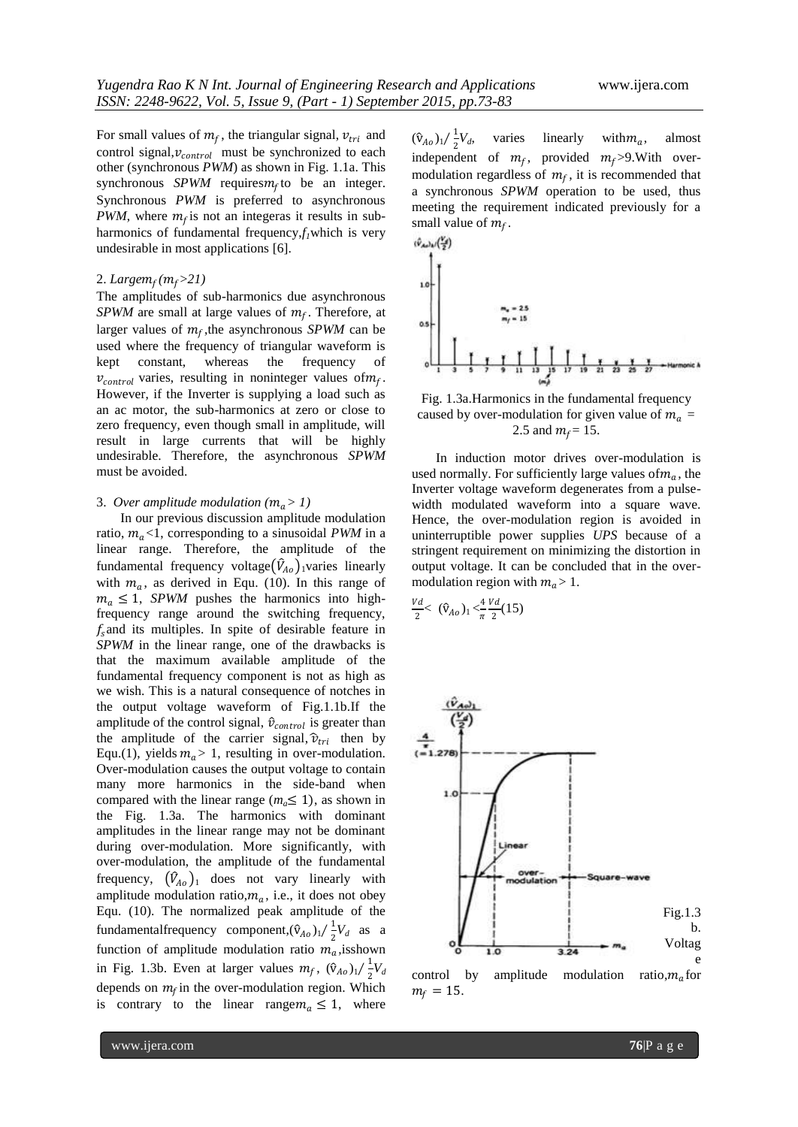For small values of  $m_f$ , the triangular signal,  $v_{tri}$  and control signal,  $v_{control}$  must be synchronized to each other (synchronous *PWM*) as shown in Fig. 1.1a. This synchronous  $SPWM$  requires $m_f$  to be an integer. Synchronous *PWM* is preferred to asynchronous *PWM*, where  $m_f$  is not an integeras it results in subharmonics of fundamental frequency,*f1*which is very undesirable in most applications [6].

# 2. *Large (*>*21)*

The amplitudes of sub-harmonics due asynchronous  $SPWM$  are small at large values of  $m_f$ . Therefore, at larger values of  $m_f$ , the asynchronous *SPWM* can be used where the frequency of triangular waveform is kept constant, whereas the frequency of  $v_{control}$  varies, resulting in noninteger values of  $m_f$ . However, if the Inverter is supplying a load such as an ac motor, the sub-harmonics at zero or close to zero frequency, even though small in amplitude, will result in large currents that will be highly undesirable. Therefore, the asynchronous *SPWM*  must be avoided.

#### 3. *Over amplitude modulation*  $(m_a > 1)$

In our previous discussion amplitude modulation ratio,  $m_a < 1$ , corresponding to a sinusoidal *PWM* in a linear range. Therefore, the amplitude of the fundamental frequency voltage $(\hat{V}_{A_0})$ <sub>1</sub>varies linearly with  $m_a$ , as derived in Equ. (10). In this range of  $m_a \leq 1$ , *SPWM* pushes the harmonics into highfrequency range around the switching frequency,  $f_s$  and its multiples. In spite of desirable feature in *SPWM* in the linear range, one of the drawbacks is that the maximum available amplitude of the fundamental frequency component is not as high as we wish. This is a natural consequence of notches in the output voltage waveform of Fig.1.1b.If the amplitude of the control signal,  $\hat{v}_{control}$  is greater than the amplitude of the carrier signal,  $\hat{v}_{tri}$  then by Equ.(1), yields  $m_a > 1$ , resulting in over-modulation. Over-modulation causes the output voltage to contain many more harmonics in the side-band when compared with the linear range ( $m_a \leq 1$ ), as shown in the Fig. 1.3a. The harmonics with dominant amplitudes in the linear range may not be dominant during over-modulation. More significantly, with over-modulation, the amplitude of the fundamental frequency,  $(\hat{V}_{A_0})_1$  does not vary linearly with amplitude modulation ratio, $m_a$ , i.e., it does not obey Equ. (10). The normalized peak amplitude of the fundamentalfrequency component, $(\hat{v}_{A_0})_1/\frac{1}{2}$  $\frac{1}{2}V_d$  as a function of amplitude modulation ratio  $m_a$ , is shown in Fig. 1.3b. Even at larger values  $m_f$ ,  $(\hat{v}_{A_0})_1/\frac{1}{2}$  $\frac{1}{2}V_d$ depends on  $m_f$  in the over-modulation region. Which is contrary to the linear range  $m_a \leq 1$ , where

 $(\hat{v}_{A_0})_1/\frac{1}{2}$  $\frac{1}{2}V_d$ , varies linearly with  $m_a$ , almost independent of  $m_f$ , provided  $m_f > 9$ . With overmodulation regardless of  $m_f$ , it is recommended that a synchronous *SPWM* operation to be used, thus meeting the requirement indicated previously for a small value of  $m_f$ .



Fig. 1.3a.Harmonics in the fundamental frequency caused by over-modulation for given value of  $m_a$  = 2.5 and  $m_f = 15$ .

In induction motor drives over-modulation is used normally. For sufficiently large values of  $m_a$ , the Inverter voltage waveform degenerates from a pulsewidth modulated waveform into a square wave. Hence, the over-modulation region is avoided in uninterruptible power supplies *UPS* because of a stringent requirement on minimizing the distortion in output voltage. It can be concluded that in the overmodulation region with  $m_a > 1$ .

$$
\frac{Vd}{2} < (\hat{v}_{Ao})_1 < \frac{4}{\pi} \frac{Vd}{2} (15)
$$



control by amplitude modulation ratio, $m_a$ for  $m_f = 15.$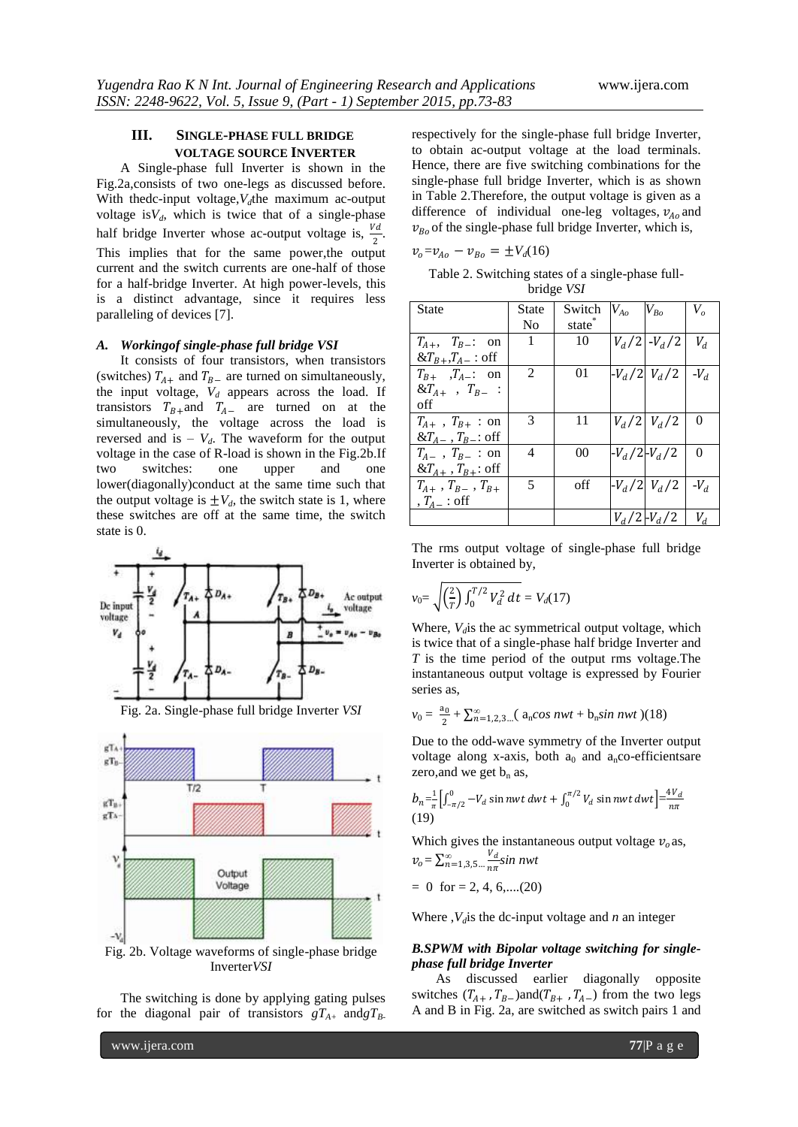# **III. SINGLE-PHASE FULL BRIDGE VOLTAGE SOURCE INVERTER**

A Single-phase full Inverter is shown in the Fig.2a,consists of two one-legs as discussed before. With thedc-input voltage, $V_d$ the maximum ac-output voltage is $V_d$ , which is twice that of a single-phase half bridge Inverter whose ac-output voltage is,  $\frac{Vd}{r}$  $\frac{u}{2}$ . This implies that for the same power,the output current and the switch currents are one-half of those for a half-bridge Inverter. At high power-levels, this is a distinct advantage, since it requires less paralleling of devices [7].

#### *A. Workingof single-phase full bridge VSI*

It consists of four transistors, when transistors (switches)  $T_{A+}$  and  $T_{B-}$  are turned on simultaneously, the input voltage,  $V_d$  appears across the load. If transistors  $T_{B+}$  and  $T_{A-}$  are turned on at the simultaneously, the voltage across the load is reversed and is  $-V_d$ . The waveform for the output voltage in the case of R-load is shown in the Fig.2b.If two switches: one upper and one lower(diagonally)conduct at the same time such that the output voltage is  $\pm V_d$ , the switch state is 1, where these switches are off at the same time, the switch state is 0.



Fig. 2a. Single-phase full bridge Inverter *VSI*



Fig. 2b. Voltage waveforms of single-phase bridge Inverter*VSI*

The switching is done by applying gating pulses for the diagonal pair of transistors  $gT_{A+}$  and  $gT_{B-}$  respectively for the single-phase full bridge Inverter, to obtain ac-output voltage at the load terminals. Hence, there are five switching combinations for the single-phase full bridge Inverter, which is as shown in Table 2.Therefore, the output voltage is given as a difference of individual one-leg voltages,  $v_{A_0}$  and  $v_{Bo}$  of the single-phase full bridge Inverter, which is,

$$
v_o = v_{Ao} - v_{Bo} = \pm V_d(16)
$$

Table 2. Switching states of a single-phase fullbridge *VSI*

| <b>State</b>                   | State          | Switch | $V_{Ao}$          | $V_{Bo}$            | $V_o$    |
|--------------------------------|----------------|--------|-------------------|---------------------|----------|
|                                | N <sub>0</sub> | state  |                   |                     |          |
| $T_{A+}$ , $T_{B-}$ : on       | 1              | 10     |                   | $ V_d/2 $ - $V_d/2$ | $V_d$    |
| $&T_{B+},T_{A-}:$ off          |                |        |                   |                     |          |
| $T_{B+}$ , $T_{A-}$ : on       | 2              | 01     |                   | $-V_d/2 V_d/2 $     | $-V_d$   |
| $&T_{A+}$ , $T_{B-}$ :         |                |        |                   |                     |          |
| off                            |                |        |                   |                     |          |
| $T_{A+}$ , $T_{B+}$ : on       | 3              | 11     |                   | $V_d/2$ $V_d/2$     | 0        |
| & $T_{A-}$ , $T_{B-}$ : off    |                |        |                   |                     |          |
| $T_{A-}$ , $T_{B-}$ : on       | 4              | 00     | $-V_d/2$ $-V_d/2$ |                     | $\Omega$ |
| $&T_{A+}$ , $T_{B+}$ : off     |                |        |                   |                     |          |
| $T_{A+}$ , $T_{B-}$ , $T_{B+}$ | 5              | off    |                   | $-V_d/2$ $V_d/2$    | $-V_d$   |
| , $T_{A-}$ : off               |                |        |                   |                     |          |
|                                |                |        |                   | $V_d/2$ – $V_d/2$   | $V_d$    |

The rms output voltage of single-phase full bridge Inverter is obtained by,

$$
v_0 = \sqrt{\left(\frac{2}{T}\right) \int_0^{T/2} V_d^2 \, dt} = V_d(17)
$$

Where,  $V_d$  is the ac symmetrical output voltage, which is twice that of a single-phase half bridge Inverter and *T* is the time period of the output rms voltage.The instantaneous output voltage is expressed by Fourier series as,

$$
v_0 = \frac{a_0}{2} + \sum_{n=1,2,3}^{\infty} (a_n \cos nwt + b_n \sin nwt)(18)
$$

Due to the odd-wave symmetry of the Inverter output voltage along x-axis, both  $a_0$  and  $a_n$ co-efficientsare zero, and we get  $b_n$  as,

$$
b_n = \frac{1}{\pi} \Big[ \int_{-\pi/2}^0 -V_d \sin nwt \, dwt + \int_0^{\pi/2} V_d \sin nwt \, dwt \Big] = \frac{4V_d}{n\pi}
$$
\n(19)

Which gives the instantaneous output voltage  $v_0$  as,  $v_o = \sum_{n=1,3,5...}^{\infty} \frac{V_d}{n\pi}$  $n\pi$ *∞* =1,3,5… *sin nwt*

$$
= 0 \text{ for } = 2, 4, 6, \dots (20)
$$

Where  $, V_d$  is the dc-input voltage and *n* an integer

#### *B.SPWM with Bipolar voltage switching for singlephase full bridge Inverter*

As discussed earlier diagonally opposite switches  $(T_{A+}$ ,  $T_{B-})$ and $(T_{B+}$ ,  $T_{A-})$  from the two legs A and B in Fig. 2a, are switched as switch pairs 1 and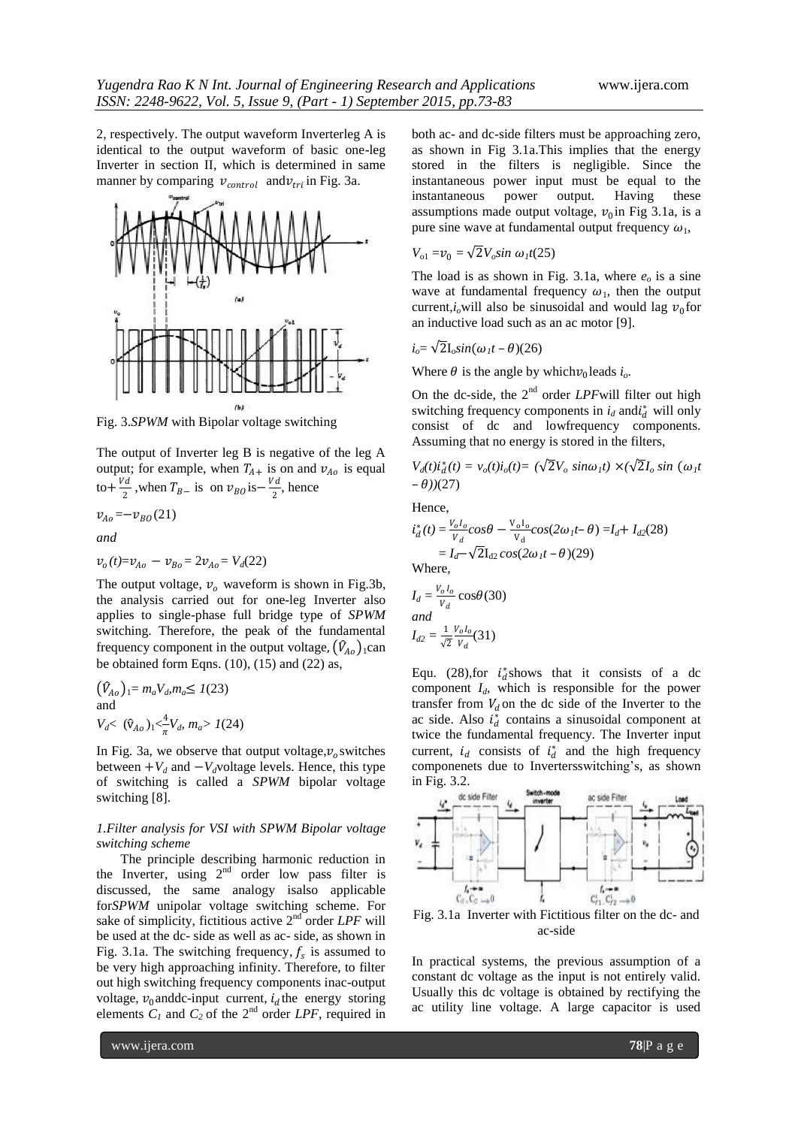2, respectively. The output waveform Inverterleg A is identical to the output waveform of basic one-leg Inverter in section II, which is determined in same manner by comparing  $v_{control}$  and  $v_{tri}$  in Fig. 3a.



Fig. 3.*SPWM* with Bipolar voltage switching

The output of Inverter leg B is negative of the leg A output; for example, when  $T_{A+}$  is on and  $v_{A_0}$  is equal to +  $\frac{Vd}{2}$  $\frac{\nu_d}{2}$ , when  $T_{B-}$  is on  $\nu_{B0}$  is  $-\frac{Vd}{2}$  $\frac{u}{2}$ , hence

$$
v_{Ao} = -v_{BO}(21)
$$
  
and

$$
v_o(t) = v_{Ao} - v_{Bo} = 2v_{Ao} = V_d(22)
$$

The output voltage,  $v<sub>o</sub>$  waveform is shown in Fig.3b, the analysis carried out for one-leg Inverter also applies to single-phase full bridge type of *SPWM*  switching. Therefore, the peak of the fundamental frequency component in the output voltage,  $(\hat{V}_{A_0})_1$ can be obtained form Eqns. (10), (15) and (22) as,

$$
(\hat{V}_{Ao})_1 = m_a V_{ab} m_a \le 1(23)
$$
  
and  

$$
V_{d} < (\hat{v}_{Ao})_1 < \frac{4}{\pi} V_{d}, m_a > 1(24)
$$

In Fig. 3a, we observe that output voltage,  $v_o$  switches between  $+V_d$  and  $-V_d$ voltage levels. Hence, this type of switching is called a *SPWM* bipolar voltage switching [8].

#### *1.Filter analysis for VSI with SPWM Bipolar voltage switching scheme*

The principle describing harmonic reduction in the Inverter, using  $2<sup>nd</sup>$  order low pass filter is discussed, the same analogy isalso applicable for*SPWM* unipolar voltage switching scheme. For sake of simplicity, fictitious active 2<sup>nd</sup> order *LPF* will be used at the dc- side as well as ac- side, as shown in Fig. 3.1a. The switching frequency,  $f_s$  is assumed to be very high approaching infinity. Therefore, to filter out high switching frequency components inac-output voltage,  $v_0$  and dc-input current,  $i_d$  the energy storing elements  $C_1$  and  $C_2$  of the 2<sup>nd</sup> order *LPF*, required in both ac- and dc-side filters must be approaching zero, as shown in Fig 3.1a.This implies that the energy stored in the filters is negligible. Since the instantaneous power input must be equal to the instantaneous power output. Having these assumptions made output voltage,  $v_0$  in Fig 3.1a, is a pure sine wave at fundamental output frequency  $\omega_1$ ,

$$
V_{o1} = v_0 = \sqrt{2} V_o \sin \omega_I t(25)
$$

The load is as shown in Fig. 3.1a, where  $e<sub>o</sub>$  is a sine wave at fundamental frequency  $\omega_1$ , then the output current, $i_o$  will also be sinusoidal and would lag  $v_0$  for an inductive load such as an ac motor [9].

$$
i_o = \sqrt{2} I_o \sin(\omega_1 t - \theta) (26)
$$

Where  $\theta$  is the angle by which  $v_0$  leads  $i_o$ .

On the dc-side, the 2<sup>nd</sup> order *LPF* will filter out high switching frequency components in  $i_d$  and  $i_d^*$  will only consist of dc and lowfrequency components. Assuming that no energy is stored in the filters,

$$
V_d(t)\dot{t}_d^*(t) = v_o(t)\dot{t}_o(t) = (\sqrt{2}V_o \sin \omega_1 t) \times (\sqrt{2}I_o \sin (\omega_1 t - \theta))
$$
  
-  $\theta$ )(27)

Hence,

$$
i_d^*(t) = \frac{v_o I_o}{v_d} cos\theta - \frac{v_o I_o}{v_d} cos(2\omega_1 t - \theta) = I_d + I_{d2}(28)
$$
  
=  $I_d - \sqrt{2}I_{d2} cos(2\omega_1 t - \theta)(29)$   
Where,

$$
I_d = \frac{V_0 I_0}{V_d} \cos\theta(30)
$$
  
and  

$$
I_{d2} = \frac{1}{\sqrt{2}} \frac{V_0 I_0}{V_d} (31)
$$

Equ. (28), for  $i_d^*$  shows that it consists of a dc component *Id*, which is responsible for the power transfer from  $V_d$  on the dc side of the Inverter to the ac side. Also  $i_d^*$  contains a sinusoidal component at twice the fundamental frequency. The Inverter input current,  $i_d$  consists of  $i_d^*$  and the high frequency componenets due to Invertersswitching"s, as shown in Fig. 3.2.



ac-side

In practical systems, the previous assumption of a constant dc voltage as the input is not entirely valid. Usually this dc voltage is obtained by rectifying the ac utility line voltage. A large capacitor is used

www.ijera.com **78**|P a g e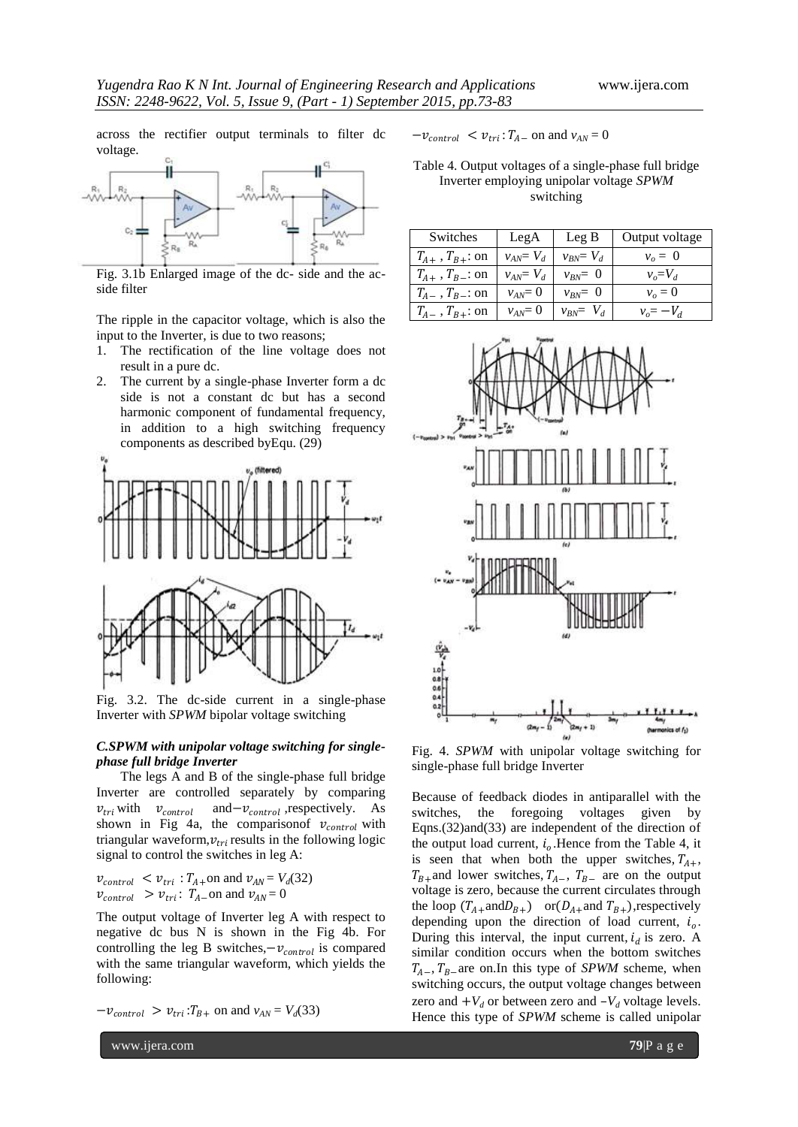across the rectifier output terminals to filter dc voltage.



Fig. 3.1b Enlarged image of the dc- side and the acside filter

The ripple in the capacitor voltage, which is also the input to the Inverter, is due to two reasons;

- 1. The rectification of the line voltage does not result in a pure dc.
- 2. The current by a single-phase Inverter form a dc side is not a constant dc but has a second harmonic component of fundamental frequency, in addition to a high switching frequency components as described byEqu. (29)



Fig. 3.2. The dc-side current in a single-phase Inverter with *SPWM* bipolar voltage switching

#### *C.SPWM with unipolar voltage switching for singlephase full bridge Inverter*

The legs A and B of the single-phase full bridge Inverter are controlled separately by comparing  $v_{tri}$  with  $v_{control}$ and  $-v_{control}$ , respectively. As shown in Fig 4a, the comparisonof  $v_{control}$  with triangular waveform,  $v_{tri}$  results in the following logic signal to control the switches in leg A:

$$
\begin{aligned} v_{control} &< v_{tri} : T_{A+} \text{on and } v_{AN} = V_d(32) \\ v_{control} &> v_{tri} : T_{A-} \text{on and } v_{AN} = 0 \end{aligned}
$$

The output voltage of Inverter leg A with respect to negative dc bus N is shown in the Fig 4b. For controlling the leg B switches, $-v_{control}$  is compared with the same triangular waveform, which yields the following:

$$
-v_{control} > v_{tri}:T_{B+} \text{ on and } v_{AN} = V_d(33)
$$

 $-v_{control} < v_{tri}$ :  $T_{A-}$  on and  $v_{AN} = 0$ 

Table 4. Output voltages of a single-phase full bridge Inverter employing unipolar voltage *SPWM* switching

| Switches                 | LegA           | $\text{Leg }B$ | Output voltage   |
|--------------------------|----------------|----------------|------------------|
| $T_{A+}$ , $T_{B+}$ : on | $v_{AN} = V_d$ | $v_{BN} = V_d$ | $v_o = 0$        |
| $T_{A+}$ , $T_{B-}$ : on | $v_{AN} = V_d$ | $v_{BN} = 0$   | $v_a = V_d$      |
| $T_{A-}$ , $T_{B-}$ : on | $v_{AN}=0$     | $v_{RN} = 0$   | $v_o = 0$        |
| $T_{A-}$ , $T_{B+}$ : on | $v_{AN}=0$     | $v_{BN} = V_d$ | $v_{o} = -V_{d}$ |



Fig. 4. *SPWM* with unipolar voltage switching for single-phase full bridge Inverter

Because of feedback diodes in antiparallel with the switches, the foregoing voltages given by Eqns.(32)and(33) are independent of the direction of the output load current,  $i<sub>o</sub>$ . Hence from the Table 4, it is seen that when both the upper switches,  $T_{A+}$ ,  $T_{B+}$ and lower switches,  $T_{A-}$ ,  $T_{B-}$  are on the output voltage is zero, because the current circulates through the loop  $(T_{A+} \text{and} D_{B+})$  or $(D_{A+} \text{and } T_{B+})$ ,respectively depending upon the direction of load current,  $i<sub>o</sub>$ . During this interval, the input current,  $i_d$  is zero. A similar condition occurs when the bottom switches  $T_{A-}$ ,  $T_{B-}$  are on. In this type of *SPWM* scheme, when switching occurs, the output voltage changes between zero and  $+V_d$  or between zero and  $-V_d$  voltage levels. Hence this type of *SPWM* scheme is called unipolar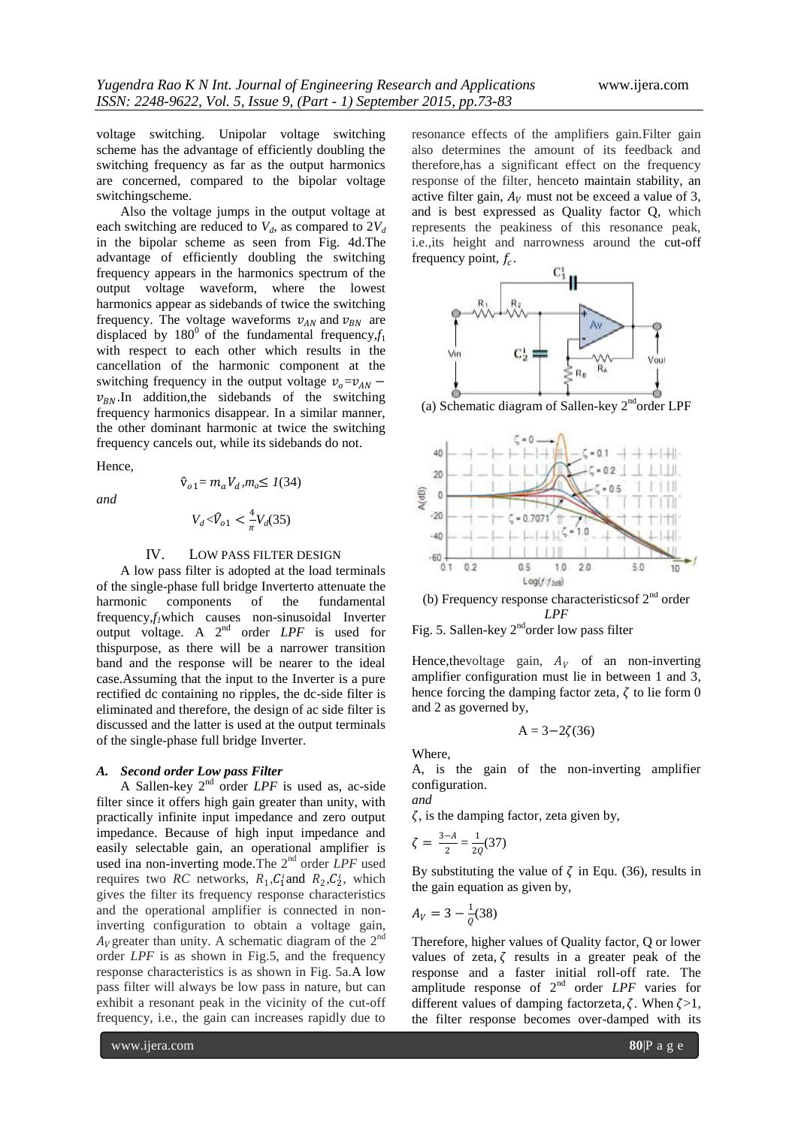voltage switching. Unipolar voltage switching scheme has the advantage of efficiently doubling the switching frequency as far as the output harmonics are concerned, compared to the bipolar voltage switchingscheme.

Also the voltage jumps in the output voltage at each switching are reduced to  $V_d$ , as compared to  $2V_d$ in the bipolar scheme as seen from Fig. 4d.The advantage of efficiently doubling the switching frequency appears in the harmonics spectrum of the output voltage waveform, where the lowest harmonics appear as sidebands of twice the switching frequency. The voltage waveforms  $v_{AN}$  and  $v_{BN}$  are displaced by  $180^{\circ}$  of the fundamental frequency, $f_1$ with respect to each other which results in the cancellation of the harmonic component at the switching frequency in the output voltage  $v_0 = v_{AN}$  –  $v_{BN}$ . In addition, the sidebands of the switching frequency harmonics disappear. In a similar manner, the other dominant harmonic at twice the switching frequency cancels out, while its sidebands do not.

Hence,

*and*

$$
\hat{v}_{o1} = m_a V_d, m_a \le 1(34)
$$
  

$$
V_d < \hat{V}_{o1} < \frac{4}{\pi} V_d(35)
$$

#### IV. LOW PASS FILTER DESIGN

A low pass filter is adopted at the load terminals of the single-phase full bridge Inverterto attenuate the harmonic components of the fundamental frequency,*f1*which causes non-sinusoidal Inverter output voltage. A 2<sup>nd</sup> order *LPF* is used for thispurpose, as there will be a narrower transition band and the response will be nearer to the ideal case.Assuming that the input to the Inverter is a pure rectified dc containing no ripples, the dc-side filter is eliminated and therefore, the design of ac side filter is discussed and the latter is used at the output terminals of the single-phase full bridge Inverter.

### *A. Second order Low pass Filter*

A Sallen-key 2nd order *LPF* is used as, ac-side filter since it offers high gain greater than unity, with practically infinite input impedance and zero output impedance. Because of high input impedance and easily selectable gain, an operational amplifier is used ina non-inverting mode. The 2<sup>nd</sup> order *LPF* used requires two *RC* networks,  $R_1, C_1$  and  $R_2, C_2$ , which gives the filter its frequency response characteristics and the operational amplifier is connected in noninverting configuration to obtain a voltage gain,  $A_V$ greater than unity. A schematic diagram of the  $2^{nd}$ order *LPF* is as shown in Fig.5, and the frequency response characteristics is as shown in Fig. 5a.A low pass filter will always be low pass in nature, but can exhibit a resonant peak in the vicinity of the cut-off frequency, i.e., the gain can increases rapidly due to

resonance effects of the amplifiers gain.Filter gain also determines the amount of its feedback and therefore,has a significant effect on the frequency response of the filter, henceto maintain stability, an active filter gain,  $A_V$  must not be exceed a value of 3, and is best expressed as Quality factor Q, which represents the peakiness of this resonance peak, i.e.,its height and narrowness around the cut-off frequency point,  $f_c$ .



(a) Schematic diagram of Sallen-key 2<sup>nd</sup>order LPF



(b) Frequency response characteristics of  $2<sup>nd</sup>$  order *LPF*



Hence, the voltage gain,  $A_V$  of an non-inverting amplifier configuration must lie in between 1 and 3, hence forcing the damping factor zeta,  $\zeta$  to lie form 0 and 2 as governed by,

$$
A = 3 - 2\zeta(36)
$$

Where,

*and* 

A, is the gain of the non-inverting amplifier configuration.

 $\zeta$ , is the damping factor, zeta given by,

$$
\zeta = \frac{3-A}{2} = \frac{1}{2Q}(37)
$$

By substituting the value of  $\zeta$  in Equ. (36), results in the gain equation as given by,

$$
A_V = 3 - \frac{1}{\varrho}(38)
$$

Therefore, higher values of Quality factor, Q or lower values of zeta,  $\zeta$  results in a greater peak of the response and a faster initial roll-off rate. The amplitude response of  $2<sup>nd</sup>$  order *LPF* varies for different values of damping factorzeta,  $\zeta$ . When  $\zeta > 1$ , the filter response becomes over-damped with its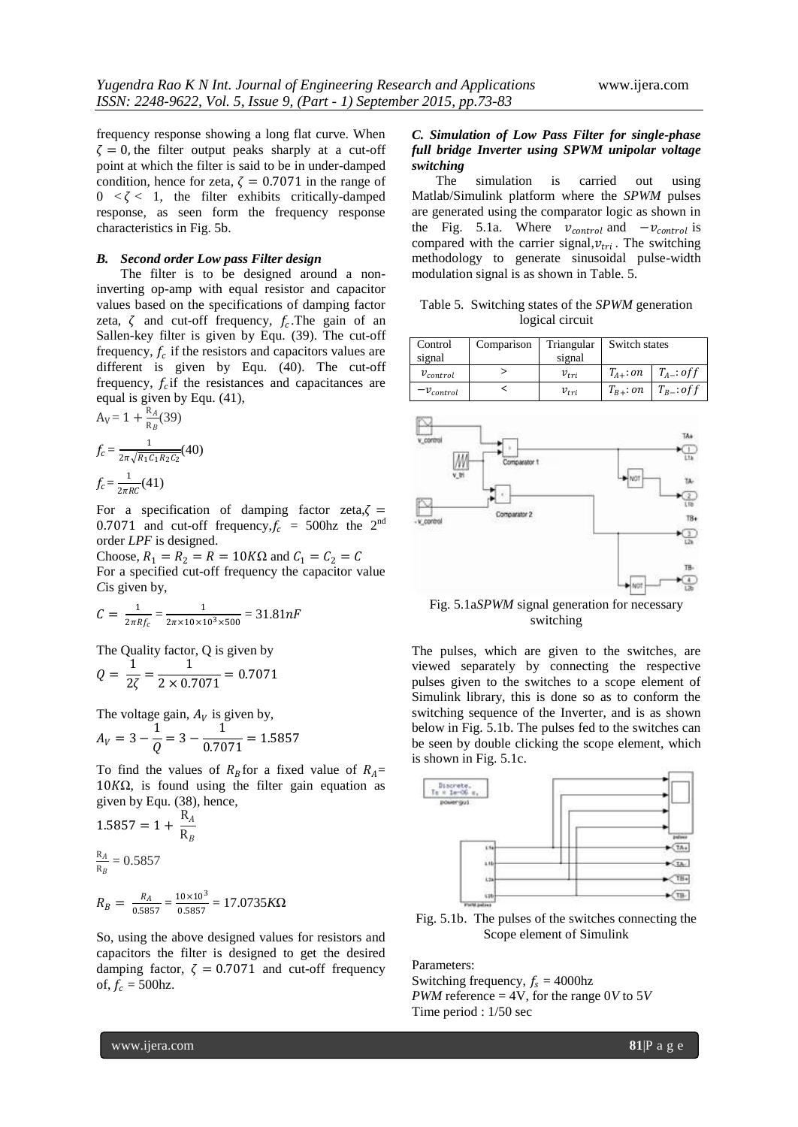frequency response showing a long flat curve. When  $\zeta = 0$ , the filter output peaks sharply at a cut-off point at which the filter is said to be in under-damped condition, hence for zeta,  $\zeta = 0.7071$  in the range of  $0 \lt \zeta \lt 1$ , the filter exhibits critically-damped response, as seen form the frequency response characteristics in Fig. 5b.

#### *B. Second order Low pass Filter design*

The filter is to be designed around a noninverting op-amp with equal resistor and capacitor values based on the specifications of damping factor zeta,  $\zeta$  and cut-off frequency,  $f_c$ . The gain of an Sallen-key filter is given by Equ. (39). The cut-off frequency,  $f_c$  if the resistors and capacitors values are different is given by Equ. (40). The cut-off frequency,  $f_c$  if the resistances and capacitances are equal is given by Equ. (41),

$$
A_V = 1 + \frac{R_A}{R_B}(39)
$$
  

$$
f_c = \frac{1}{2\pi\sqrt{R_1C_1R_2C_2}}(40)
$$
  

$$
f_c = \frac{1}{2\pi RC}(41)
$$

For a specification of damping factor zeta, $\zeta$  = 0.7071 and cut-off frequency,  $f_c = 500$ hz the 2<sup>nd</sup> order *LPF* is designed.

Choose,  $R_1 = R_2 = R = 10K\Omega$  and  $C_1 = C_2 = C$ For a specified cut-off frequency the capacitor value *C*is given by,

$$
C = \frac{1}{2\pi R f_c} = \frac{1}{2\pi \times 10 \times 10^3 \times 500} = 31.81 nF
$$

The Quality factor, Q is given by

$$
Q = \frac{1}{2\zeta} = \frac{1}{2 \times 0.7071} = 0.7071
$$

The voltage gain,  $A_V$  is given by, 1 1

$$
A_V = 3 - \frac{1}{Q} = 3 - \frac{1}{0.7071} = 1.5857
$$

To find the values of  $R_B$  for a fixed value of  $R_A$ =  $10K\Omega$ , is found using the filter gain equation as given by Equ. (38), hence,

$$
1.5857 = 1 + \frac{R_A}{R_B}
$$
  

$$
\frac{R_A}{R_B} = 0.5857
$$
  

$$
R_B = \frac{R_A}{0.5857} = \frac{10 \times 10^3}{0.5857} = 17.0735 K\Omega
$$

So, using the above designed values for resistors and capacitors the filter is designed to get the desired damping factor,  $\zeta = 0.7071$  and cut-off frequency of,  $f_c = 500$ hz.

#### *C. Simulation of Low Pass Filter for single-phase full bridge Inverter using SPWM unipolar voltage switching*

The simulation is carried out using Matlab/Simulink platform where the *SPWM* pulses are generated using the comparator logic as shown in the Fig. 5.1a. Where  $v_{control}$  and  $-v_{control}$  is compared with the carrier signal,  $v_{tri}$ . The switching methodology to generate sinusoidal pulse-width modulation signal is as shown in Table. 5.

Table 5. Switching states of the *SPWM* generation logical circuit

| Control        | Comparison | Triangular | Switch states   |                |
|----------------|------------|------------|-----------------|----------------|
| signal         |            | signal     |                 |                |
| $v_{control}$  |            | $v_{tri}$  | $T_{4\pm}$ : on | $T_{A-}:$ of f |
| $-v_{control}$ |            | $v_{tri}$  | $T_{B+}:on$     | $T_B$ : of f   |



Fig. 5.1a*SPWM* signal generation for necessary switching

The pulses, which are given to the switches, are viewed separately by connecting the respective pulses given to the switches to a scope element of Simulink library, this is done so as to conform the switching sequence of the Inverter, and is as shown below in Fig. 5.1b. The pulses fed to the switches can be seen by double clicking the scope element, which is shown in Fig. 5.1c.



Fig. 5.1b. The pulses of the switches connecting the Scope element of Simulink

Parameters:

Switching frequency,  $f_s = 4000$ hz *PWM* reference = 4V, for the range  $0V$  to  $5V$ Time period : 1/50 sec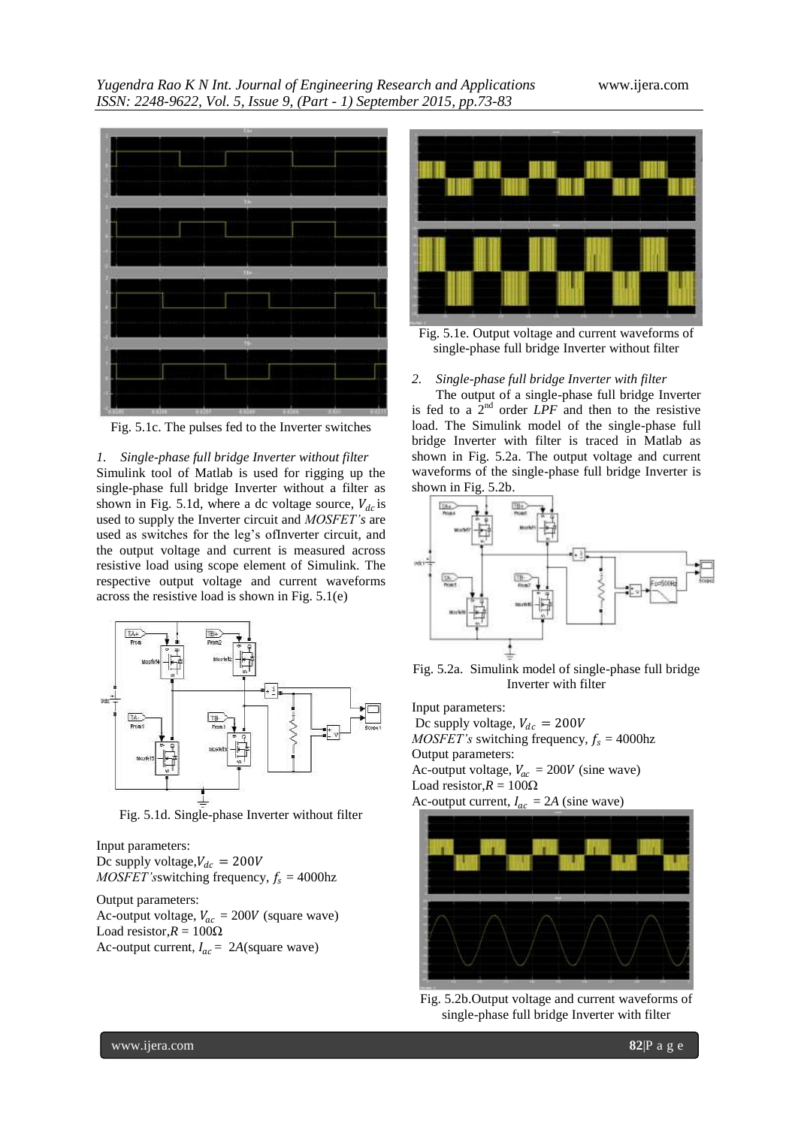*Yugendra Rao K N Int. Journal of Engineering Research and Applications* www.ijera.com *ISSN: 2248-9622, Vol. 5, Issue 9, (Part - 1) September 2015, pp.73-83*



Fig. 5.1c. The pulses fed to the Inverter switches

#### *1. Single-phase full bridge Inverter without filter*

Simulink tool of Matlab is used for rigging up the single-phase full bridge Inverter without a filter as shown in Fig. 5.1d, where a dc voltage source,  $V_{dc}$  is used to supply the Inverter circuit and *MOSFET's* are used as switches for the leg"s ofInverter circuit, and the output voltage and current is measured across resistive load using scope element of Simulink. The respective output voltage and current waveforms across the resistive load is shown in Fig. 5.1(e)



Fig. 5.1d. Single-phase Inverter without filter

Input parameters: Dc supply voltage,  $V_{dc} = 200V$ *MOSFET's*switching frequency,  $f_s = 4000$ hz

Output parameters: Ac-output voltage,  $V_{ac} = 200V$  (square wave) Load resistor, $R = 100\Omega$ Ac-output current,  $I_{ac} = 2A$ (square wave)



Fig. 5.1e. Output voltage and current waveforms of single-phase full bridge Inverter without filter

#### *2. Single-phase full bridge Inverter with filter*

The output of a single-phase full bridge Inverter is fed to a  $2<sup>nd</sup>$  order *LPF* and then to the resistive load. The Simulink model of the single-phase full bridge Inverter with filter is traced in Matlab as shown in Fig. 5.2a. The output voltage and current waveforms of the single-phase full bridge Inverter is shown in Fig. 5.2b.



Fig. 5.2a. Simulink model of single-phase full bridge Inverter with filter

Input parameters:

- Dc supply voltage,  $V_{dc} = 200V$
- *MOSFET's* switching frequency,  $f_s = 4000$ hz

Output parameters: Ac-output voltage,  $V_{ac} = 200V$  (sine wave)

Load resistor, $R = 100\Omega$ 

Ac-output current,  $I_{ac} = 2A$  (sine wave)



Fig. 5.2b.Output voltage and current waveforms of single-phase full bridge Inverter with filter